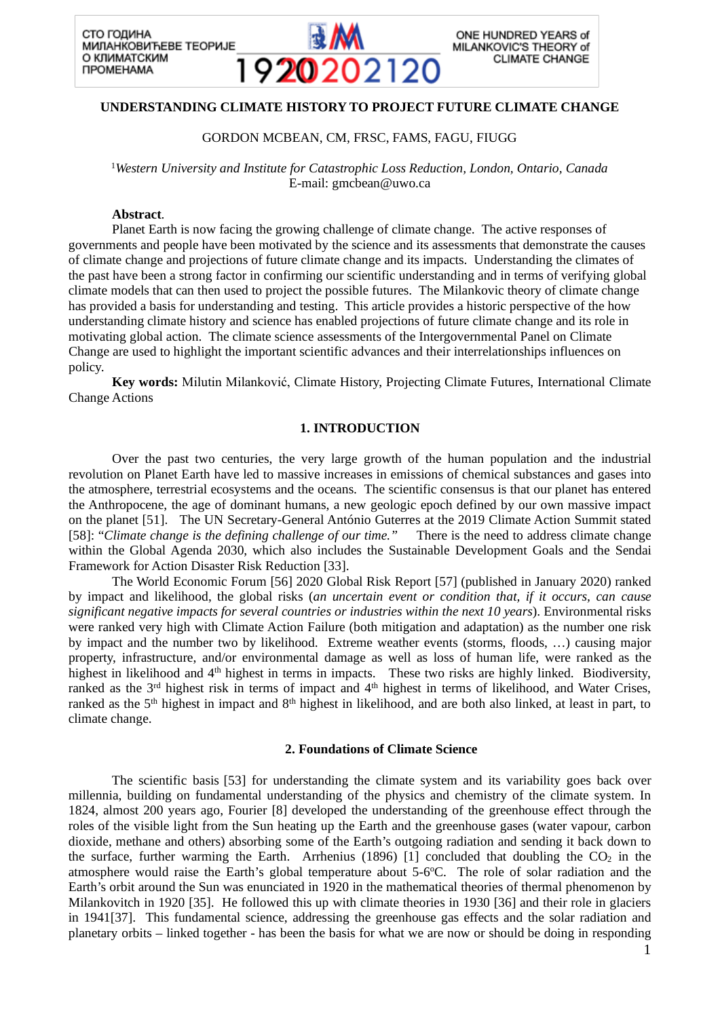

# **UNDERSTANDING CLIMATE HISTORY TO PROJECT FUTURE CLIMATE CHANGE**

## GORDON MCBEAN, CM, FRSC, FAMS, FAGU, FIUGG

<sup>1</sup>*Western University and Institute for Catastrophic Loss Reduction, London, Ontario, Canada* E-mail: gmcbean@uwo.ca

### **Abstract**.

Planet Earth is now facing the growing challenge of climate change. The active responses of governments and people have been motivated by the science and its assessments that demonstrate the causes of climate change and projections of future climate change and its impacts. Understanding the climates of the past have been a strong factor in confirming our scientific understanding and in terms of verifying global climate models that can then used to project the possible futures. The Milankovic theory of climate change has provided a basis for understanding and testing. This article provides a historic perspective of the how understanding climate history and science has enabled projections of future climate change and its role in motivating global action. The climate science assessments of the Intergovernmental Panel on Climate Change are used to highlight the important scientific advances and their interrelationships influences on policy.

**Key words:** Milutin Milanković, Climate History, Projecting Climate Futures, International Climate Change Actions

## **1. INTRODUCTION**

Over the past two centuries, the very large growth of the human population and the industrial revolution on Planet Earth have led to massive increases in emissions of chemical substances and gases into the atmosphere, terrestrial ecosystems and the oceans. The scientific consensus is that our planet has entered the Anthropocene, the age of dominant humans, a new geologic epoch defined by our own massive impact on the planet [51]. The UN Secretary-General António Guterres at the 2019 Climate Action Summit stated [58]: "*Climate change is the defining challenge of our time."* There is the need to address climate change within the Global Agenda 2030, which also includes the Sustainable Development Goals and the Sendai Framework for Action Disaster Risk Reduction [33].

The World Economic Forum [56] 2020 Global Risk Report [57] (published in January 2020) ranked by impact and likelihood, the global risks (*an uncertain event or condition that, if it occurs, can cause significant negative impacts for several countries or industries within the next 10 years*). Environmental risks were ranked very high with Climate Action Failure (both mitigation and adaptation) as the number one risk by impact and the number two by likelihood. Extreme weather events (storms, floods, …) causing major property, infrastructure, and/or environmental damage as well as loss of human life, were ranked as the highest in likelihood and 4<sup>th</sup> highest in terms in impacts. These two risks are highly linked. Biodiversity, ranked as the 3<sup>rd</sup> highest risk in terms of impact and 4<sup>th</sup> highest in terms of likelihood, and Water Crises, ranked as the 5<sup>th</sup> highest in impact and 8<sup>th</sup> highest in likelihood, and are both also linked, at least in part, to climate change.

#### **2. Foundations of Climate Science**

The scientific basis [53] for understanding the climate system and its variability goes back over millennia, building on fundamental understanding of the physics and chemistry of the climate system. In 1824, almost 200 years ago, Fourier [8] developed the understanding of the greenhouse effect through the roles of the visible light from the Sun heating up the Earth and the greenhouse gases (water vapour, carbon dioxide, methane and others) absorbing some of the Earth's outgoing radiation and sending it back down to the surface, further warming the Earth. Arrhenius (1896) [1] concluded that doubling the  $CO<sub>2</sub>$  in the atmosphere would raise the Earth's global temperature about 5-6°C. The role of solar radiation and the Earth's orbit around the Sun was enunciated in 1920 in the mathematical theories of thermal phenomenon by Milankovitch in 1920 [35]. He followed this up with climate theories in 1930 [36] and their role in glaciers in 1941[37]. This fundamental science, addressing the greenhouse gas effects and the solar radiation and planetary orbits – linked together - has been the basis for what we are now or should be doing in responding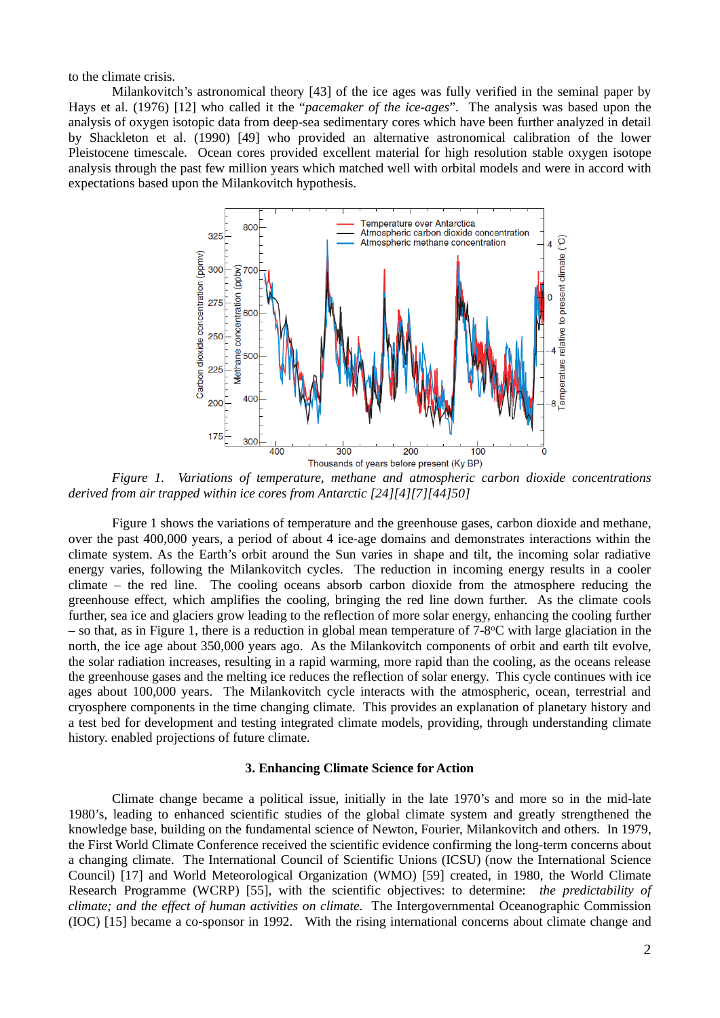to the climate crisis.

Milankovitch's astronomical theory [43] of the ice ages was fully verified in the seminal paper by Hays et al. (1976) [12] who called it the "*pacemaker of the ice-ages*". The analysis was based upon the analysis of oxygen isotopic data from deep-sea sedimentary cores which have been further analyzed in detail by Shackleton et al. (1990) [49] who provided an alternative astronomical calibration of the lower Pleistocene timescale. Ocean cores provided excellent material for high resolution stable oxygen isotope analysis through the past few million years which matched well with orbital models and were in accord with expectations based upon the Milankovitch hypothesis.



*Figure 1. Variations of temperature, methane and atmospheric carbon dioxide concentrations derived from air trapped within ice cores from Antarctic [24][4][7][44]50]*

Figure 1 shows the variations of temperature and the greenhouse gases, carbon dioxide and methane, over the past 400,000 years, a period of about 4 ice-age domains and demonstrates interactions within the climate system. As the Earth's orbit around the Sun varies in shape and tilt, the incoming solar radiative energy varies, following the Milankovitch cycles. The reduction in incoming energy results in a cooler climate – the red line. The cooling oceans absorb carbon dioxide from the atmosphere reducing the greenhouse effect, which amplifies the cooling, bringing the red line down further. As the climate cools further, sea ice and glaciers grow leading to the reflection of more solar energy, enhancing the cooling further – so that, as in Figure 1, there is a reduction in global mean temperature of 7-8°C with large glaciation in the north, the ice age about 350,000 years ago. As the Milankovitch components of orbit and earth tilt evolve, the solar radiation increases, resulting in a rapid warming, more rapid than the cooling, as the oceans release the greenhouse gases and the melting ice reduces the reflection of solar energy. This cycle continues with ice ages about 100,000 years. The Milankovitch cycle interacts with the atmospheric, ocean, terrestrial and cryosphere components in the time changing climate. This provides an explanation of planetary history and a test bed for development and testing integrated climate models, providing, through understanding climate history. enabled projections of future climate.

## **3. Enhancing Climate Science for Action**

Climate change became a political issue, initially in the late 1970's and more so in the mid-late 1980's, leading to enhanced scientific studies of the global climate system and greatly strengthened the knowledge base, building on the fundamental science of Newton, Fourier, Milankovitch and others. In 1979, the First World Climate Conference received the scientific evidence confirming the long-term concerns about a changing climate. The International Council of Scientific Unions (ICSU) (now the International Science Council) [17] and World Meteorological Organization (WMO) [59] created, in 1980, the World Climate Research Programme (WCRP) [55], with the scientific objectives: to determine: *the predictability of climate; and the effect of human activities on climate*. The Intergovernmental Oceanographic Commission (IOC) [15] became a co-sponsor in 1992. With the rising international concerns about climate change and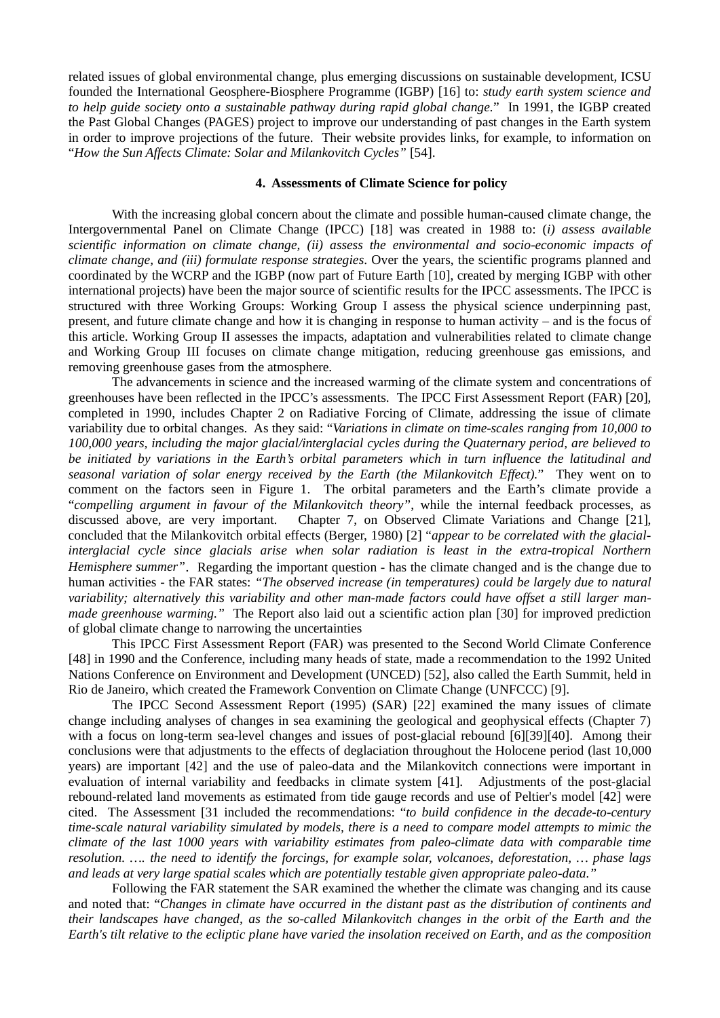related issues of global environmental change, plus emerging discussions on sustainable development, ICSU founded the International Geosphere-Biosphere Programme (IGBP) [16] to: *study earth system science and to help guide society onto a sustainable pathway during rapid global change.*" In 1991, the IGBP created the Past Global Changes (PAGES) project to improve our understanding of past changes in the Earth system in order to improve projections of the future. Their website provides links, for example, to information on "*How the Sun Affects Climate: Solar and Milankovitch Cycles"* [54].

### **4. Assessments of Climate Science for policy**

With the increasing global concern about the climate and possible human-caused climate change, the Intergovernmental Panel on Climate Change (IPCC) [18] was created in 1988 to: (*i) assess available scientific information on climate change, (ii) assess the environmental and socio-economic impacts of climate change, and (iii) formulate response strategies*. Over the years, the scientific programs planned and coordinated by the WCRP and the IGBP (now part of Future Earth [10], created by merging IGBP with other international projects) have been the major source of scientific results for the IPCC assessments. The IPCC is structured with three Working Groups: Working Group I assess the physical science underpinning past, present, and future climate change and how it is changing in response to human activity – and is the focus of this article. Working Group II assesses the impacts, adaptation and vulnerabilities related to climate change and Working Group III focuses on climate change mitigation, reducing greenhouse gas emissions, and removing greenhouse gases from the atmosphere.

The advancements in science and the increased warming of the climate system and concentrations of greenhouses have been reflected in the IPCC's assessments. The IPCC First Assessment Report (FAR) [20], completed in 1990, includes Chapter 2 on Radiative Forcing of Climate, addressing the issue of climate variability due to orbital changes. As they said: "*Variations in climate on time-scales ranging from 10,000 to 100,000 years, including the major glacial/interglacial cycles during the Quaternary period, are believed to be initiated by variations in the Earth's orbital parameters which in turn influence the latitudinal and seasonal variation of solar energy received by the Earth (the Milankovitch Effect).*" They went on to comment on the factors seen in Figure 1. The orbital parameters and the Earth's climate provide a "*compelling argument in favour of the Milankovitch theory"*, while the internal feedback processes, as discussed above, are very important. Chapter 7, on Observed Climate Variations and Change [21], concluded that the Milankovitch orbital effects (Berger, 1980) [2] "*appear to be correlated with the glacialinterglacial cycle since glacials arise when solar radiation is least in the extra-tropical Northern Hemisphere summer"*. Regarding the important question - has the climate changed and is the change due to human activities - the FAR states: *"The observed increase (in temperatures) could be largely due to natural variability; alternatively this variability and other man-made factors could have offset a still larger manmade greenhouse warming."* The Report also laid out a scientific action plan [30] for improved prediction of global climate change to narrowing the uncertainties

This IPCC First Assessment Report (FAR) was presented to the Second World Climate Conference [48] in 1990 and the Conference, including many heads of state, made a recommendation to the 1992 United Nations Conference on Environment and Development (UNCED) [52], also called the Earth Summit, held in Rio de Janeiro, which created the Framework Convention on Climate Change (UNFCCC) [9].

The IPCC Second Assessment Report (1995) (SAR) [22] examined the many issues of climate change including analyses of changes in sea examining the geological and geophysical effects (Chapter 7) with a focus on long-term sea-level changes and issues of post-glacial rebound [6][39][40]. Among their conclusions were that adjustments to the effects of deglaciation throughout the Holocene period (last 10,000 years) are important [42] and the use of paleo-data and the Milankovitch connections were important in evaluation of internal variability and feedbacks in climate system [41]. Adjustments of the post-glacial rebound-related land movements as estimated from tide gauge records and use of Peltier's model [42] were cited. The Assessment [31 included the recommendations: "*to build confidence in the decade-to-century time-scale natural variability simulated by models, there is a need to compare model attempts to mimic the climate of the last 1000 years with variability estimates from paleo-climate data with comparable time resolution. …. the need to identify the forcings, for example solar, volcanoes, deforestation, … phase lags and leads at very large spatial scales which are potentially testable given appropriate paleo-data."*

Following the FAR statement the SAR examined the whether the climate was changing and its cause and noted that: "*Changes in climate have occurred in the distant past as the distribution of continents and their landscapes have changed, as the so-called Milankovitch changes in the orbit of the Earth and the Earth's tilt relative to the ecliptic plane have varied the insolation received on Earth, and as the composition*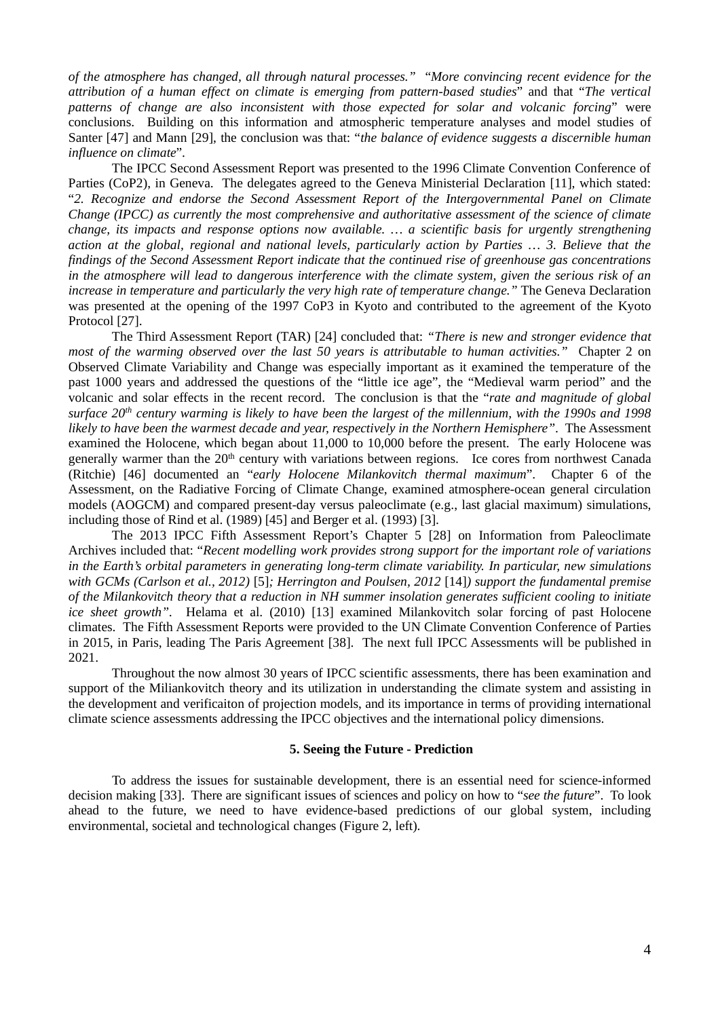*of the atmosphere has changed, all through natural processes."* "*More convincing recent evidence for the attribution of a human effect on climate is emerging from pattern-based studies*" and that "*The vertical patterns of change are also inconsistent with those expected for solar and volcanic forcing*" were conclusions. Building on this information and atmospheric temperature analyses and model studies of Santer [47] and Mann [29], the conclusion was that: "*the balance of evidence suggests a discernible human influence on climate*".

The IPCC Second Assessment Report was presented to the 1996 Climate Convention Conference of Parties (CoP2), in Geneva. The delegates agreed to the Geneva Ministerial Declaration [11], which stated: "*2. Recognize and endorse the Second Assessment Report of the Intergovernmental Panel on Climate Change (IPCC) as currently the most comprehensive and authoritative assessment of the science of climate change, its impacts and response options now available. … a scientific basis for urgently strengthening action at the global, regional and national levels, particularly action by Parties … 3. Believe that the findings of the Second Assessment Report indicate that the continued rise of greenhouse gas concentrations in the atmosphere will lead to dangerous interference with the climate system, given the serious risk of an increase in temperature and particularly the very high rate of temperature change."* The Geneva Declaration was presented at the opening of the 1997 CoP3 in Kyoto and contributed to the agreement of the Kyoto Protocol [27].

The Third Assessment Report (TAR) [24] concluded that: *"There is new and stronger evidence that most of the warming observed over the last 50 years is attributable to human activities."* Chapter 2 on Observed Climate Variability and Change was especially important as it examined the temperature of the past 1000 years and addressed the questions of the "little ice age", the "Medieval warm period" and the volcanic and solar effects in the recent record. The conclusion is that the "*rate and magnitude of global surface 20th century warming is likely to have been the largest of the millennium, with the 1990s and 1998 likely to have been the warmest decade and year, respectively in the Northern Hemisphere"*. The Assessment examined the Holocene, which began about 11,000 to 10,000 before the present. The early Holocene was generally warmer than the 20<sup>th</sup> century with variations between regions. Ice cores from northwest Canada (Ritchie) [46] documented an "*early Holocene Milankovitch thermal maximum*". Chapter 6 of the Assessment, on the Radiative Forcing of Climate Change, examined atmosphere-ocean general circulation models (AOGCM) and compared present-day versus paleoclimate (e.g., last glacial maximum) simulations, including those of Rind et al. (1989) [45] and Berger et al. (1993) [3].

The 2013 IPCC Fifth Assessment Report's Chapter 5 [28] on Information from Paleoclimate Archives included that: "*Recent modelling work provides strong support for the important role of variations in the Earth's orbital parameters in generating long-term climate variability. In particular, new simulations with GCMs (Carlson et al., 2012)* [5]*; Herrington and Poulsen, 2012* [14]*) support the fundamental premise of the Milankovitch theory that a reduction in NH summer insolation generates sufficient cooling to initiate ice sheet growth".* Helama et al. (2010) [13] examined Milankovitch solar forcing of past Holocene climates. The Fifth Assessment Reports were provided to the UN Climate Convention Conference of Parties in 2015, in Paris, leading The Paris Agreement [38]. The next full IPCC Assessments will be published in 2021.

Throughout the now almost 30 years of IPCC scientific assessments, there has been examination and support of the Miliankovitch theory and its utilization in understanding the climate system and assisting in the development and verificaiton of projection models, and its importance in terms of providing international climate science assessments addressing the IPCC objectives and the international policy dimensions.

#### **5. Seeing the Future - Prediction**

To address the issues for sustainable development, there is an essential need for science-informed decision making [33]. There are significant issues of sciences and policy on how to "*see the future*". To look ahead to the future, we need to have evidence-based predictions of our global system, including environmental, societal and technological changes (Figure 2, left).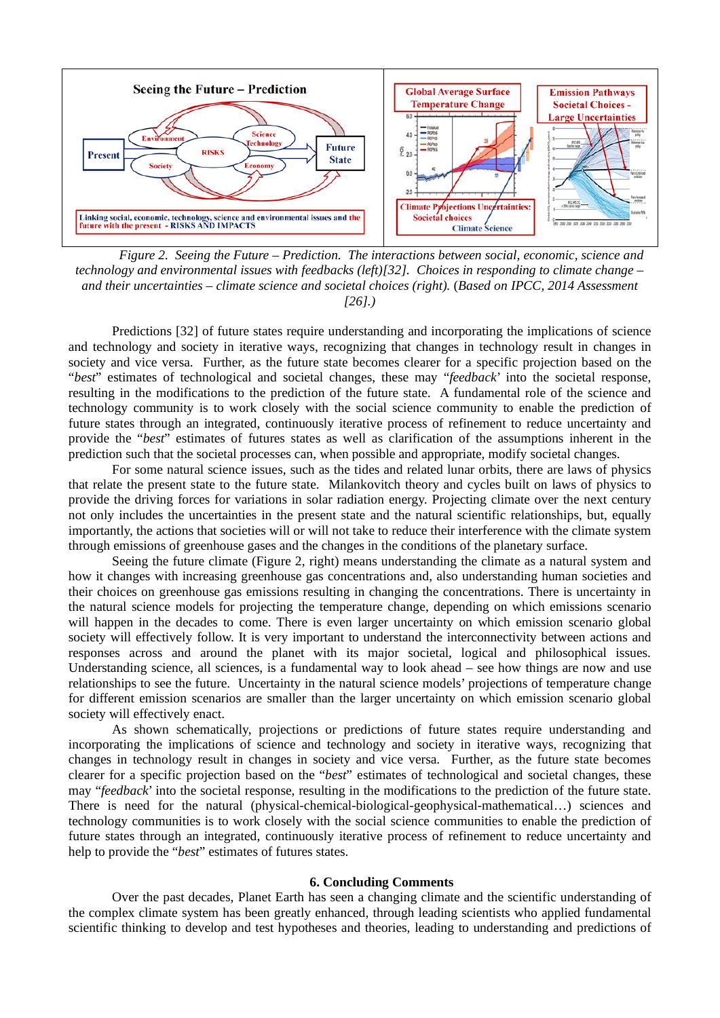

*Figure 2. Seeing the Future – Prediction. The interactions between social, economic, science and technology and environmental issues with feedbacks (left)[32]. Choices in responding to climate change – and their uncertainties – climate science and societal choices (right).* (*Based on IPCC, 2014 Assessment [26].)*

Predictions [32] of future states require understanding and incorporating the implications of science and technology and society in iterative ways, recognizing that changes in technology result in changes in society and vice versa. Further, as the future state becomes clearer for a specific projection based on the "*best*" estimates of technological and societal changes, these may "*feedback*' into the societal response, resulting in the modifications to the prediction of the future state. A fundamental role of the science and technology community is to work closely with the social science community to enable the prediction of future states through an integrated, continuously iterative process of refinement to reduce uncertainty and provide the "*best*" estimates of futures states as well as clarification of the assumptions inherent in the prediction such that the societal processes can, when possible and appropriate, modify societal changes.

For some natural science issues, such as the tides and related lunar orbits, there are laws of physics that relate the present state to the future state. Milankovitch theory and cycles built on laws of physics to provide the driving forces for variations in solar radiation energy. Projecting climate over the next century not only includes the uncertainties in the present state and the natural scientific relationships, but, equally importantly, the actions that societies will or will not take to reduce their interference with the climate system through emissions of greenhouse gases and the changes in the conditions of the planetary surface.

Seeing the future climate (Figure 2, right) means understanding the climate as a natural system and how it changes with increasing greenhouse gas concentrations and, also understanding human societies and their choices on greenhouse gas emissions resulting in changing the concentrations. There is uncertainty in the natural science models for projecting the temperature change, depending on which emissions scenario will happen in the decades to come. There is even larger uncertainty on which emission scenario global society will effectively follow. It is very important to understand the interconnectivity between actions and responses across and around the planet with its major societal, logical and philosophical issues. Understanding science, all sciences, is a fundamental way to look ahead – see how things are now and use relationships to see the future. Uncertainty in the natural science models' projections of temperature change for different emission scenarios are smaller than the larger uncertainty on which emission scenario global society will effectively enact.

As shown schematically, projections or predictions of future states require understanding and incorporating the implications of science and technology and society in iterative ways, recognizing that changes in technology result in changes in society and vice versa. Further, as the future state becomes clearer for a specific projection based on the "*best*" estimates of technological and societal changes, these may "*feedback*' into the societal response, resulting in the modifications to the prediction of the future state. There is need for the natural (physical-chemical-biological-geophysical-mathematical…) sciences and technology communities is to work closely with the social science communities to enable the prediction of future states through an integrated, continuously iterative process of refinement to reduce uncertainty and help to provide the "*best*" estimates of futures states.

#### **6. Concluding Comments**

Over the past decades, Planet Earth has seen a changing climate and the scientific understanding of the complex climate system has been greatly enhanced, through leading scientists who applied fundamental scientific thinking to develop and test hypotheses and theories, leading to understanding and predictions of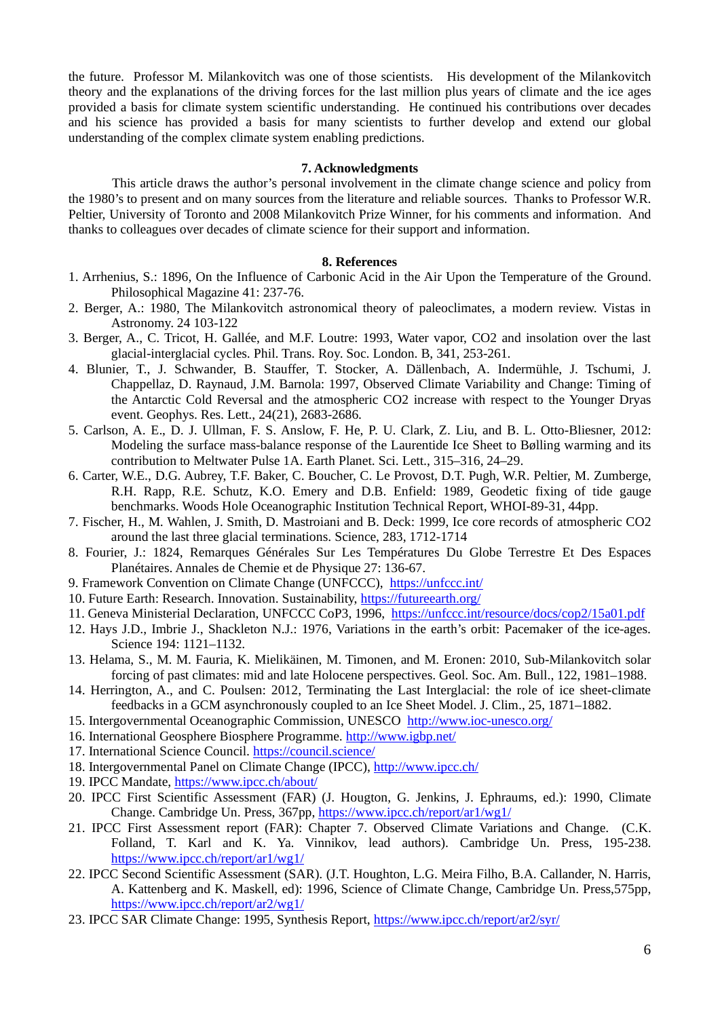the future. Professor M. Milankovitch was one of those scientists. His development of the Milankovitch theory and the explanations of the driving forces for the last million plus years of climate and the ice ages provided a basis for climate system scientific understanding. He continued his contributions over decades and his science has provided a basis for many scientists to further develop and extend our global understanding of the complex climate system enabling predictions.

## **7. Acknowledgments**

This article draws the author's personal involvement in the climate change science and policy from the 1980's to present and on many sources from the literature and reliable sources. Thanks to Professor W.R. Peltier, University of Toronto and 2008 Milankovitch Prize Winner, for his comments and information. And thanks to colleagues over decades of climate science for their support and information.

#### **8. References**

- 1. Arrhenius, S.: 1896, On the Influence of Carbonic Acid in the Air Upon the Temperature of the Ground. Philosophical Magazine 41: 237-76.
- 2. Berger, A.: 1980, The Milankovitch astronomical theory of paleoclimates, a modern review. Vistas in Astronomy. 24 103-122
- 3. Berger, A., C. Tricot, H. Gallée, and M.F. Loutre: 1993, Water vapor, CO2 and insolation over the last glacial-interglacial cycles. Phil. Trans. Roy. Soc. London. B, 341, 253-261.
- 4. Blunier, T., J. Schwander, B. Stauffer, T. Stocker, A. Dällenbach, A. Indermühle, J. Tschumi, J. Chappellaz, D. Raynaud, J.M. Barnola: 1997, Observed Climate Variability and Change: Timing of the Antarctic Cold Reversal and the atmospheric CO2 increase with respect to the Younger Dryas event. Geophys. Res. Lett., 24(21), 2683-2686.
- 5. Carlson, A. E., D. J. Ullman, F. S. Anslow, F. He, P. U. Clark, Z. Liu, and B. L. Otto-Bliesner, 2012: Modeling the surface mass-balance response of the Laurentide Ice Sheet to Bølling warming and its contribution to Meltwater Pulse 1A. Earth Planet. Sci. Lett., 315–316, 24–29.
- 6. Carter, W.E., D.G. Aubrey, T.F. Baker, C. Boucher, C. Le Provost, D.T. Pugh, W.R. Peltier, M. Zumberge, R.H. Rapp, R.E. Schutz, K.O. Emery and D.B. Enfield: 1989, Geodetic fixing of tide gauge benchmarks. Woods Hole Oceanographic Institution Technical Report, WHOI-89-31, 44pp.
- 7. Fischer, H., M. Wahlen, J. Smith, D. Mastroiani and B. Deck: 1999, Ice core records of atmospheric CO2 around the last three glacial terminations. Science, 283, 1712-1714
- 8. Fourier, J.: 1824, Remarques Générales Sur Les Températures Du Globe Terrestre Et Des Espaces Planétaires. Annales de Chemie et de Physique 27: 136-67.
- 9. Framework Convention on Climate Change (UNFCCC), <https://unfccc.int/>
- 10. Future Earth: Research. Innovation. Sustainability,<https://futureearth.org/>
- 11. Geneva Ministerial Declaration, UNFCCC CoP3, 1996, <https://unfccc.int/resource/docs/cop2/15a01.pdf>
- 12. Hays J.D., Imbrie J., Shackleton N.J.: 1976, Variations in the earth's orbit: Pacemaker of the ice-ages. Science 194: 1121–1132.
- 13. Helama, S., M. M. Fauria, K. Mielikäinen, M. Timonen, and M. Eronen: 2010, Sub-Milankovitch solar forcing of past climates: mid and late Holocene perspectives. Geol. Soc. Am. Bull., 122, 1981–1988.
- 14. Herrington, A., and C. Poulsen: 2012, Terminating the Last Interglacial: the role of ice sheet-climate feedbacks in a GCM asynchronously coupled to an Ice Sheet Model. J. Clim., 25, 1871–1882.
- 15. Intergovernmental Oceanographic Commission, UNESCO <http://www.ioc-unesco.org/>
- 16. International Geosphere Biosphere Programme.<http://www.igbp.net/>
- 17. International Science Council.<https://council.science/>
- 18. Intergovernmental Panel on Climate Change (IPCC),<http://www.ipcc.ch/>
- 19. IPCC Mandate,<https://www.ipcc.ch/about/>
- 20. IPCC First Scientific Assessment (FAR) (J. Hougton, G. Jenkins, J. Ephraums, ed.): 1990, Climate Change. Cambridge Un. Press, 367pp,<https://www.ipcc.ch/report/ar1/wg1/>
- 21. IPCC First Assessment report (FAR): Chapter 7. Observed Climate Variations and Change. (C.K. Folland, T. Karl and K. Ya. Vinnikov, lead authors). Cambridge Un. Press, 195-238. <https://www.ipcc.ch/report/ar1/wg1/>
- 22. IPCC Second Scientific Assessment (SAR). (J.T. Houghton, L.G. Meira Filho, B.A. Callander, N. Harris, A. Kattenberg and K. Maskell, ed): 1996, Science of Climate Change, Cambridge Un. Press,575pp, <https://www.ipcc.ch/report/ar2/wg1/>
- 23. IPCC SAR Climate Change: 1995, Synthesis Report,<https://www.ipcc.ch/report/ar2/syr/>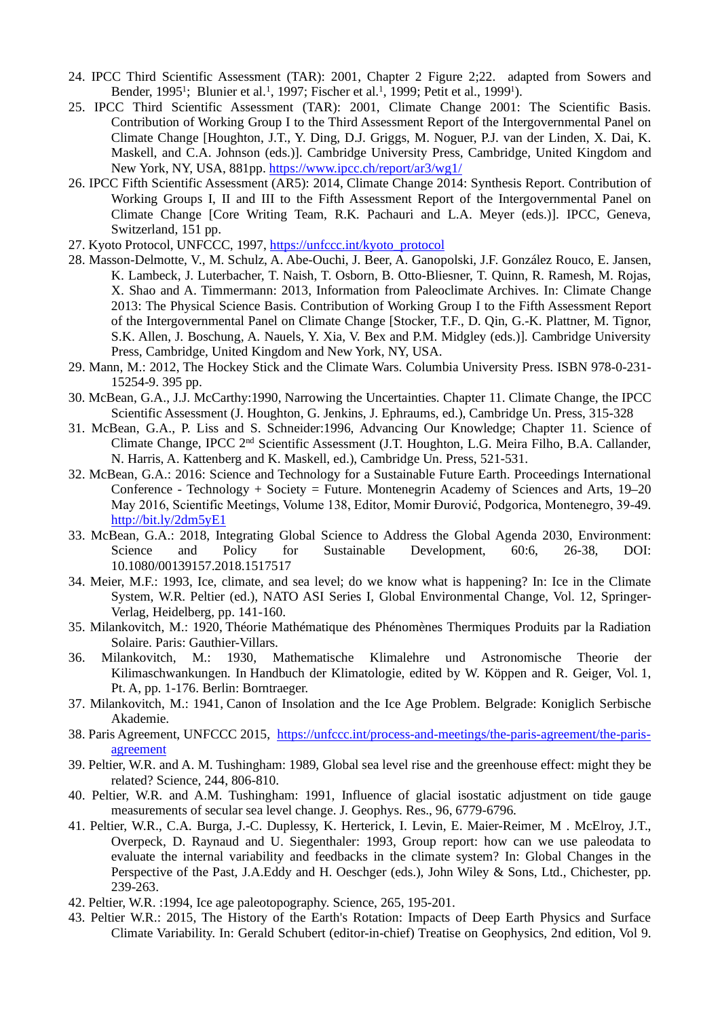- 24. IPCC Third Scientific Assessment (TAR): 2001, Chapter 2 Figure 2;22. adapted from Sowers and Bender, 1995<sup>1</sup>; Blunier et al.<sup>1</sup>, 1997; Fischer et al.<sup>1</sup>, 1999; Petit et al., 1999<sup>1</sup>).
- 25. IPCC Third Scientific Assessment (TAR): 2001, Climate Change 2001: The Scientific Basis. Contribution of Working Group I to the Third Assessment Report of the Intergovernmental Panel on Climate Change [Houghton, J.T., Y. Ding, D.J. Griggs, M. Noguer, P.J. van der Linden, X. Dai, K. Maskell, and C.A. Johnson (eds.)]. Cambridge University Press, Cambridge, United Kingdom and New York, NY, USA, 881pp.<https://www.ipcc.ch/report/ar3/wg1/>
- 26. IPCC Fifth Scientific Assessment (AR5): 2014, Climate Change 2014: Synthesis Report. Contribution of Working Groups I, II and III to the Fifth Assessment Report of the Intergovernmental Panel on Climate Change [Core Writing Team, R.K. Pachauri and L.A. Meyer (eds.)]. IPCC, Geneva, Switzerland, 151 pp.
- 27. Kyoto Protocol, UNFCCC, 1997, [https://unfccc.int/kyoto\\_protocol](https://unfccc.int/kyoto_protocol)
- 28. Masson-Delmotte, V., M. Schulz, A. Abe-Ouchi, J. Beer, A. Ganopolski, J.F. González Rouco, E. Jansen, K. Lambeck, J. Luterbacher, T. Naish, T. Osborn, B. Otto-Bliesner, T. Quinn, R. Ramesh, M. Rojas, X. Shao and A. Timmermann: 2013, Information from Paleoclimate Archives. In: Climate Change 2013: The Physical Science Basis. Contribution of Working Group I to the Fifth Assessment Report of the Intergovernmental Panel on Climate Change [Stocker, T.F., D. Qin, G.-K. Plattner, M. Tignor, S.K. Allen, J. Boschung, A. Nauels, Y. Xia, V. Bex and P.M. Midgley (eds.)]. Cambridge University Press, Cambridge, United Kingdom and New York, NY, USA.
- 29. Mann, M.: 2012, The Hockey Stick and the Climate Wars. Columbia University Press. ISBN 978-0-231- 15254-9. 395 pp.
- 30. McBean, G.A., J.J. McCarthy:1990, Narrowing the Uncertainties. Chapter 11. Climate Change, the IPCC Scientific Assessment (J. Houghton, G. Jenkins, J. Ephraums, ed.), Cambridge Un. Press, 315-328
- 31. McBean, G.A., P. Liss and S. Schneider:1996, Advancing Our Knowledge; Chapter 11. Science of Climate Change, IPCC 2nd Scientific Assessment (J.T. Houghton, L.G. Meira Filho, B.A. Callander, N. Harris, A. Kattenberg and K. Maskell, ed.), Cambridge Un. Press, 521-531.
- 32. McBean, G.A.: 2016: Science and Technology for a Sustainable Future Earth. Proceedings International Conference - Technology + Society = Future. Montenegrin Academy of Sciences and Arts, 19–20 May 2016, Scientific Meetings, Volume 138, Editor, Momir Đurović, Podgorica, Montenegro, 39-49. <http://bit.ly/2dm5yE1>
- 33. McBean, G.A.: 2018, Integrating Global Science to Address the Global Agenda 2030, Environment:<br>Science and Policy for Sustainable Development. 60:6. 26-38. DOI: Science and Policy for Sustainable Development, 60:6, 26-38, DOI: 10.1080/00139157.2018.1517517
- 34. Meier, M.F.: 1993, Ice, climate, and sea level; do we know what is happening? In: Ice in the Climate System, W.R. Peltier (ed.), NATO ASI Series I, Global Environmental Change, Vol. 12, Springer-Verlag, Heidelberg, pp. 141-160.
- 35. Milankovitch, M.: 1920, Théorie Mathématique des Phénomènes Thermiques Produits par la Radiation Solaire. Paris: Gauthier-Villars.
- 36. Milankovitch, M.: 1930, Mathematische Klimalehre und Astronomische Theorie der Kilimaschwankungen. In Handbuch der Klimatologie, edited by W. Köppen and R. Geiger, Vol. 1, Pt. A, pp. 1-176. Berlin: Borntraeger.
- 37. Milankovitch, M.: 1941, Canon of Insolation and the Ice Age Problem. Belgrade: Koniglich Serbische Akademie.
- 38. Paris Agreement, UNFCCC 2015, [https://unfccc.int/process-and-meetings/the-paris-agreement/the-paris](https://unfccc.int/process-and-meetings/the-paris-agreement/the-paris-agreement)[agreement](https://unfccc.int/process-and-meetings/the-paris-agreement/the-paris-agreement)
- 39. Peltier, W.R. and A. M. Tushingham: 1989, Global sea level rise and the greenhouse effect: might they be related? Science, 244, 806-810.
- 40. Peltier, W.R. and A.M. Tushingham: 1991, Influence of glacial isostatic adjustment on tide gauge measurements of secular sea level change. J. Geophys. Res., 96, 6779-6796.
- 41. Peltier, W.R., C.A. Burga, J.-C. Duplessy, K. Herterick, I. Levin, E. Maier-Reimer, M . McElroy, J.T., Overpeck, D. Raynaud and U. Siegenthaler: 1993, Group report: how can we use paleodata to evaluate the internal variability and feedbacks in the climate system? In: Global Changes in the Perspective of the Past, J.A.Eddy and H. Oeschger (eds.), John Wiley & Sons, Ltd., Chichester, pp. 239-263.
- 42. Peltier, W.R. :1994, Ice age paleotopography. Science, 265, 195-201.
- 43. Peltier W.R.: 2015, The History of the Earth's Rotation: Impacts of Deep Earth Physics and Surface Climate Variability. In: Gerald Schubert (editor-in-chief) Treatise on Geophysics, 2nd edition, Vol 9.